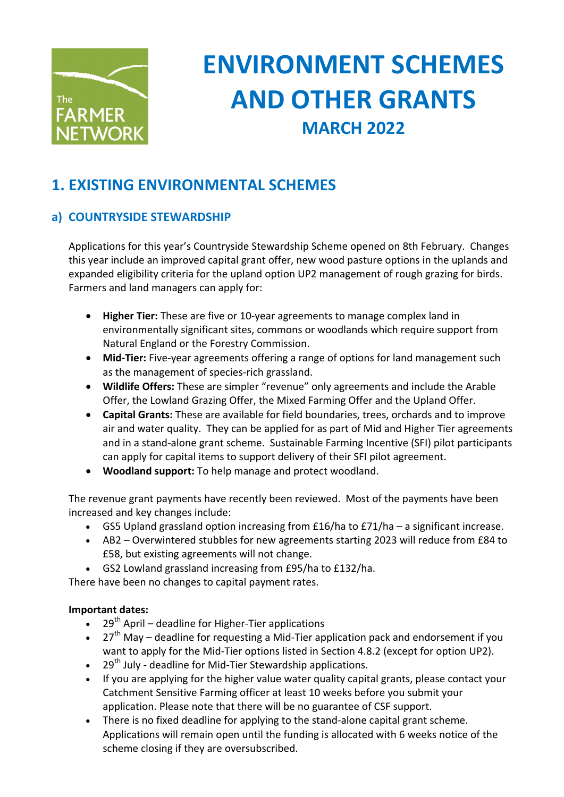

# **ENVIRONMENT SCHEMES AND OTHER GRANTS MARCH 2022**

# **1. EXISTING ENVIRONMENTAL SCHEMES**

# **a) COUNTRYSIDE STEWARDSHIP**

Applications for this year's Countryside Stewardship Scheme opened on 8th February. Changes this year include an improved capital grant offer, new wood pasture options in the uplands and expanded eligibility criteria for the upland option UP2 management of rough grazing for birds. Farmers and land managers can apply for:

- Higher Tier: These are five or 10-year agreements to manage complex land in environmentally significant sites, commons or woodlands which require support from Natural England or the Forestry Commission.
- Mid-Tier: Five-year agreements offering a range of options for land management such as the management of species-rich grassland.
- Wildlife Offers: These are simpler "revenue" only agreements and include the Arable Offer, the Lowland Grazing Offer, the Mixed Farming Offer and the Upland Offer.
- **Capital Grants:** These are available for field boundaries, trees, orchards and to improve air and water quality. They can be applied for as part of Mid and Higher Tier agreements and in a stand-alone grant scheme. Sustainable Farming Incentive (SFI) pilot participants can apply for capital items to support delivery of their SFI pilot agreement.
- Woodland support: To help manage and protect woodland.

The revenue grant payments have recently been reviewed. Most of the payments have been increased and key changes include:

- GS5 Upland grassland option increasing from  $£16/ha$  to  $£71/ha a$  significant increase.
- AB2 Overwintered stubbles for new agreements starting 2023 will reduce from £84 to £58, but existing agreements will not change.
- GS2 Lowland grassland increasing from £95/ha to £132/ha.

There have been no changes to capital payment rates.

## **Important dates:**

- 29<sup>th</sup> April deadline for Higher-Tier applications
- $27<sup>th</sup>$  May deadline for requesting a Mid-Tier application pack and endorsement if you want to apply for the Mid-Tier options listed in Section 4.8.2 (except for option UP2).
- 29<sup>th</sup> July deadline for Mid-Tier Stewardship applications.
- If you are applying for the higher value water quality capital grants, please contact your Catchment Sensitive Farming officer at least 10 weeks before you submit your application. Please note that there will be no guarantee of CSF support.
- There is no fixed deadline for applying to the stand-alone capital grant scheme. Applications will remain open until the funding is allocated with 6 weeks notice of the scheme closing if they are oversubscribed.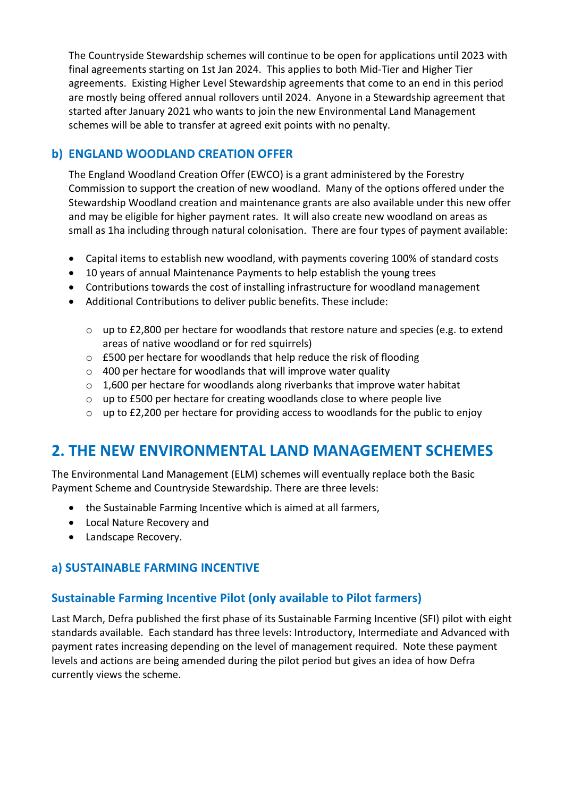The Countryside Stewardship schemes will continue to be open for applications until 2023 with final agreements starting on 1st Jan 2024. This applies to both Mid-Tier and Higher Tier agreements. Existing Higher Level Stewardship agreements that come to an end in this period are mostly being offered annual rollovers until 2024. Anyone in a Stewardship agreement that started after January 2021 who wants to join the new Environmental Land Management schemes will be able to transfer at agreed exit points with no penalty.

# **b) ENGLAND WOODLAND CREATION OFFER**

The England Woodland Creation Offer (EWCO) is a grant administered by the Forestry Commission to support the creation of new woodland. Many of the options offered under the Stewardship Woodland creation and maintenance grants are also available under this new offer and may be eligible for higher payment rates. It will also create new woodland on areas as small as 1ha including through natural colonisation. There are four types of payment available:

- Capital items to establish new woodland, with payments covering 100% of standard costs
- 10 years of annual Maintenance Payments to help establish the young trees
- Contributions towards the cost of installing infrastructure for woodland management
- Additional Contributions to deliver public benefits. These include:
	- $\circ$  up to £2,800 per hectare for woodlands that restore nature and species (e.g. to extend areas of native woodland or for red squirrels)
	- $\circ$  £500 per hectare for woodlands that help reduce the risk of flooding
	- $\circ$  400 per hectare for woodlands that will improve water quality
	- $\circ$  1,600 per hectare for woodlands along riverbanks that improve water habitat
	- $\circ$  up to £500 per hectare for creating woodlands close to where people live
	- $\circ$  up to £2,200 per hectare for providing access to woodlands for the public to enjoy

# **2. THE NEW ENVIRONMENTAL LAND MANAGEMENT SCHEMES**

The Environmental Land Management (ELM) schemes will eventually replace both the Basic Payment Scheme and Countryside Stewardship. There are three levels:

- the Sustainable Farming Incentive which is aimed at all farmers,
- Local Nature Recovery and
- Landscape Recovery.

## **a) SUSTAINABLE FARMING INCENTIVE**

## **Sustainable Farming Incentive Pilot (only available to Pilot farmers)**

Last March, Defra published the first phase of its Sustainable Farming Incentive (SFI) pilot with eight standards available. Each standard has three levels: Introductory, Intermediate and Advanced with payment rates increasing depending on the level of management required. Note these payment levels and actions are being amended during the pilot period but gives an idea of how Defra currently views the scheme.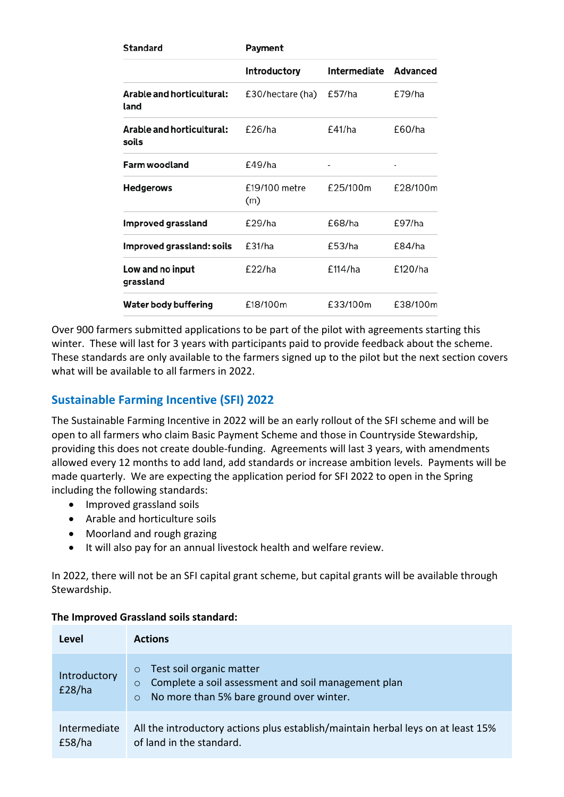| Standard                           | Payment              |              |          |
|------------------------------------|----------------------|--------------|----------|
|                                    | Introductory         | Intermediate | Advanced |
| Arable and horticultural:<br>land  | £30/hectare (ha)     | £57/ha       | £79/ha   |
| Arable and horticultural:<br>soils | $f$ 26/ha            | f41/ha       | f60/ha   |
| <b>Farm woodland</b>               | £49/ha               |              |          |
| <b>Hedgerows</b>                   | £19/100 metre<br>(m) | £25/100m     | £28/100m |
| Improved grassland                 | £29/ha               | £68/ha       | £97/ha   |
| Improved grassland: soils          | £31/ha               | £53/ha       | f84/ha   |
| Low and no input<br>grassland      | f22/ha               | £114/ha      | £120/ha  |
| Water body buffering               | £18/100m             | £33/100m     | £38/100m |

Over 900 farmers submitted applications to be part of the pilot with agreements starting this winter. These will last for 3 years with participants paid to provide feedback about the scheme. These standards are only available to the farmers signed up to the pilot but the next section covers what will be available to all farmers in 2022.

# **Sustainable Farming Incentive (SFI) 2022**

The Sustainable Farming Incentive in 2022 will be an early rollout of the SFI scheme and will be open to all farmers who claim Basic Payment Scheme and those in Countryside Stewardship, providing this does not create double-funding. Agreements will last 3 years, with amendments allowed every 12 months to add land, add standards or increase ambition levels. Payments will be made quarterly. We are expecting the application period for SFI 2022 to open in the Spring including the following standards:

- Improved grassland soils
- Arable and horticulture soils
- Moorland and rough grazing
- It will also pay for an annual livestock health and welfare review.

In 2022, there will not be an SFI capital grant scheme, but capital grants will be available through Stewardship. 

| Level                  | <b>Actions</b>                                                                                                                                               |
|------------------------|--------------------------------------------------------------------------------------------------------------------------------------------------------------|
| Introductory<br>E28/ha | Test soil organic matter<br>$\circ$<br>Complete a soil assessment and soil management plan<br>$\circ$<br>No more than 5% bare ground over winter.<br>$\circ$ |
| Intermediate<br>E58/ha | All the introductory actions plus establish/maintain herbal leys on at least 15%<br>of land in the standard.                                                 |

#### **The Improved Grassland soils standard:**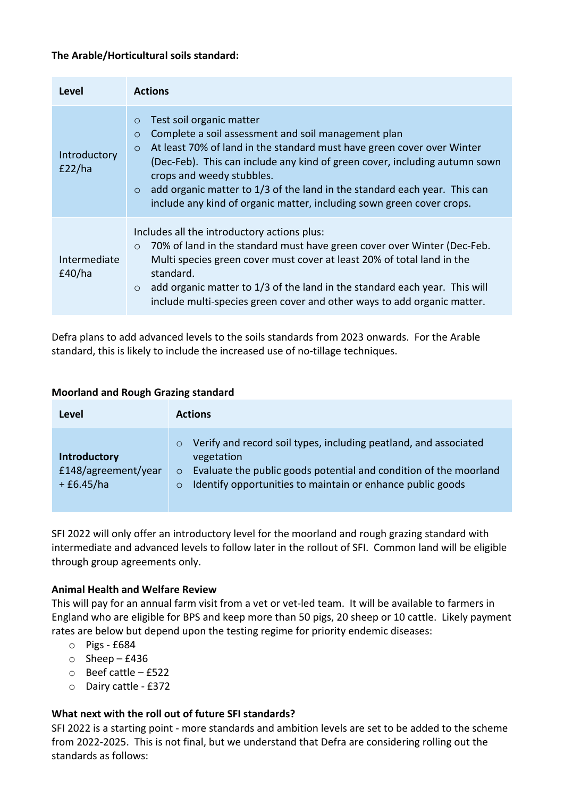#### **The Arable/Horticultural soils standard:**

| <b>Level</b>           | <b>Actions</b>                                                                                                                                                                                                                                                                                                                                                                                                                                                         |
|------------------------|------------------------------------------------------------------------------------------------------------------------------------------------------------------------------------------------------------------------------------------------------------------------------------------------------------------------------------------------------------------------------------------------------------------------------------------------------------------------|
| Introductory<br>E22/ha | Test soil organic matter<br>$\circ$<br>Complete a soil assessment and soil management plan<br>$\circ$<br>At least 70% of land in the standard must have green cover over Winter<br>$\circ$<br>(Dec-Feb). This can include any kind of green cover, including autumn sown<br>crops and weedy stubbles.<br>add organic matter to 1/3 of the land in the standard each year. This can<br>$\circ$<br>include any kind of organic matter, including sown green cover crops. |
| Intermediate<br>E40/ha | Includes all the introductory actions plus:<br>70% of land in the standard must have green cover over Winter (Dec-Feb.<br>$\circ$<br>Multi species green cover must cover at least 20% of total land in the<br>standard.<br>add organic matter to 1/3 of the land in the standard each year. This will<br>$\circ$<br>include multi-species green cover and other ways to add organic matter.                                                                           |

Defra plans to add advanced levels to the soils standards from 2023 onwards. For the Arable standard, this is likely to include the increased use of no-tillage techniques.

#### **Moorland and Rough Grazing standard**

| Level                                              | <b>Actions</b>                                                                                                                                                                                                                           |
|----------------------------------------------------|------------------------------------------------------------------------------------------------------------------------------------------------------------------------------------------------------------------------------------------|
| Introductory<br>£148/agreement/year<br>$+£6.45/ha$ | Verify and record soil types, including peatland, and associated<br>vegetation<br>Evaluate the public goods potential and condition of the moorland<br>$\circ$<br>Identify opportunities to maintain or enhance public goods<br>$\Omega$ |

SFI 2022 will only offer an introductory level for the moorland and rough grazing standard with intermediate and advanced levels to follow later in the rollout of SFI. Common land will be eligible through group agreements only.

#### **Animal Health and Welfare Review**

This will pay for an annual farm visit from a vet or vet-led team. It will be available to farmers in England who are eligible for BPS and keep more than 50 pigs, 20 sheep or 10 cattle. Likely payment rates are below but depend upon the testing regime for priority endemic diseases:

- $O$  Pigs £684
- $\circ$  Sheep £436
- $\circ$  Beef cattle £522
- o Dairy cattle - £372

#### **What next with the roll out of future SFI standards?**

SFI 2022 is a starting point - more standards and ambition levels are set to be added to the scheme from 2022-2025. This is not final, but we understand that Defra are considering rolling out the standards as follows: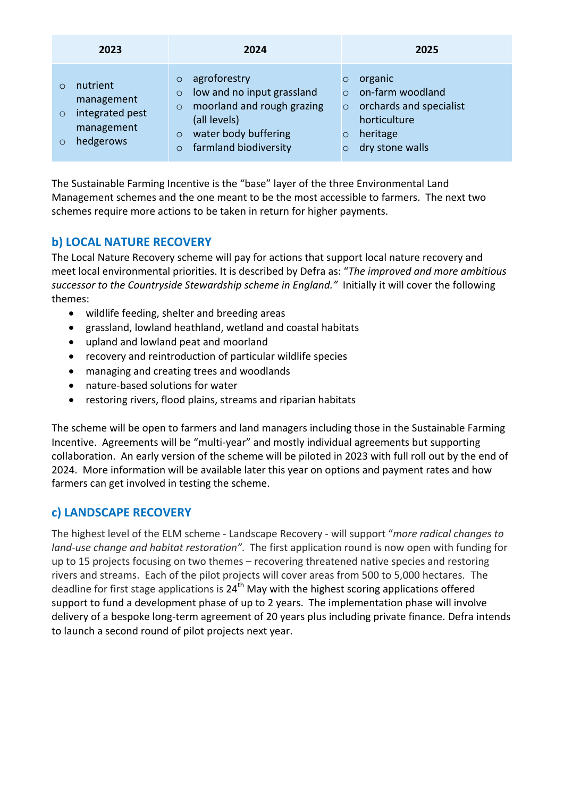| 2023                                                                                            | 2024                                                                                                                                                                                             | 2025                                                                                                                                                          |
|-------------------------------------------------------------------------------------------------|--------------------------------------------------------------------------------------------------------------------------------------------------------------------------------------------------|---------------------------------------------------------------------------------------------------------------------------------------------------------------|
| nutrient<br>O<br>management<br>integrated pest<br>$\circ$<br>management<br>hedgerows<br>$\circ$ | agroforestry<br>$\circ$<br>low and no input grassland<br>$\circ$<br>moorland and rough grazing<br>$\circ$<br>(all levels)<br>water body buffering<br>$\circ$<br>farmland biodiversity<br>$\circ$ | organic<br>$\circ$<br>on-farm woodland<br>$\Omega$<br>orchards and specialist<br>$\circ$<br>horticulture<br>heritage<br>$\circ$<br>dry stone walls<br>$\circ$ |

The Sustainable Farming Incentive is the "base" layer of the three Environmental Land Management schemes and the one meant to be the most accessible to farmers. The next two schemes require more actions to be taken in return for higher payments.

# **b) LOCAL NATURE RECOVERY**

The Local Nature Recovery scheme will pay for actions that support local nature recovery and meet local environmental priorities. It is described by Defra as: "The improved and more ambitious successor to the Countryside Stewardship scheme in England." Initially it will cover the following themes:

- $\bullet$  wildlife feeding, shelter and breeding areas
- grassland, lowland heathland, wetland and coastal habitats
- upland and lowland peat and moorland
- recovery and reintroduction of particular wildlife species
- managing and creating trees and woodlands
- nature-based solutions for water
- restoring rivers, flood plains, streams and riparian habitats

The scheme will be open to farmers and land managers including those in the Sustainable Farming Incentive. Agreements will be "multi-year" and mostly individual agreements but supporting collaboration. An early version of the scheme will be piloted in 2023 with full roll out by the end of 2024. More information will be available later this year on options and payment rates and how farmers can get involved in testing the scheme.

# **c) LANDSCAPE RECOVERY**

The highest level of the ELM scheme - Landscape Recovery - will support "*more radical changes to land-use change and habitat restoration"*. The first application round is now open with funding for up to 15 projects focusing on two themes – recovering threatened native species and restoring rivers and streams. Each of the pilot projects will cover areas from 500 to 5,000 hectares. The deadline for first stage applications is  $24<sup>th</sup>$  May with the highest scoring applications offered support to fund a development phase of up to 2 years. The implementation phase will involve delivery of a bespoke long-term agreement of 20 years plus including private finance. Defra intends to launch a second round of pilot projects next year.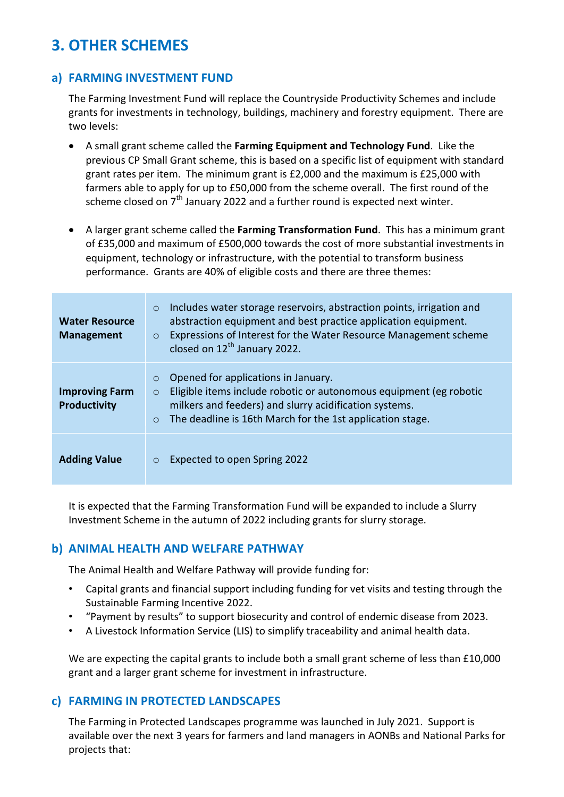# **3. OTHER SCHEMES**

# **a) FARMING INVESTMENT FUND**

The Farming Investment Fund will replace the Countryside Productivity Schemes and include grants for investments in technology, buildings, machinery and forestry equipment. There are two levels:

- A small grant scheme called the Farming Equipment and Technology Fund. Like the previous CP Small Grant scheme, this is based on a specific list of equipment with standard grant rates per item. The minimum grant is  $£2,000$  and the maximum is  $£25,000$  with farmers able to apply for up to £50,000 from the scheme overall. The first round of the scheme closed on  $7<sup>th</sup>$  January 2022 and a further round is expected next winter.
- A larger grant scheme called the **Farming Transformation Fund**. This has a minimum grant of £35,000 and maximum of £500,000 towards the cost of more substantial investments in equipment, technology or infrastructure, with the potential to transform business performance. Grants are 40% of eligible costs and there are three themes:

| <b>Water Resource</b><br><b>Management</b>   | Includes water storage reservoirs, abstraction points, irrigation and<br>$\circ$<br>abstraction equipment and best practice application equipment.<br>Expressions of Interest for the Water Resource Management scheme<br>$\circ$<br>closed on 12 <sup>th</sup> January 2022. |
|----------------------------------------------|-------------------------------------------------------------------------------------------------------------------------------------------------------------------------------------------------------------------------------------------------------------------------------|
| <b>Improving Farm</b><br><b>Productivity</b> | Opened for applications in January.<br>$\circ$<br>Eligible items include robotic or autonomous equipment (eg robotic<br>$\circ$<br>milkers and feeders) and slurry acidification systems.<br>The deadline is 16th March for the 1st application stage.<br>$\circ$             |
| <b>Adding Value</b>                          | Expected to open Spring 2022<br>$\circ$                                                                                                                                                                                                                                       |

It is expected that the Farming Transformation Fund will be expanded to include a Slurry Investment Scheme in the autumn of 2022 including grants for slurry storage.

## **b)** ANIMAL HEALTH AND WELFARE PATHWAY

The Animal Health and Welfare Pathway will provide funding for:

- Capital grants and financial support including funding for vet visits and testing through the Sustainable Farming Incentive 2022.
- "Payment by results" to support biosecurity and control of endemic disease from 2023.
- A Livestock Information Service (LIS) to simplify traceability and animal health data.

We are expecting the capital grants to include both a small grant scheme of less than  $£10,000$ grant and a larger grant scheme for investment in infrastructure.

# **c) FARMING IN PROTECTED LANDSCAPES**

The Farming in Protected Landscapes programme was launched in July 2021. Support is available over the next 3 years for farmers and land managers in AONBs and National Parks for projects that: